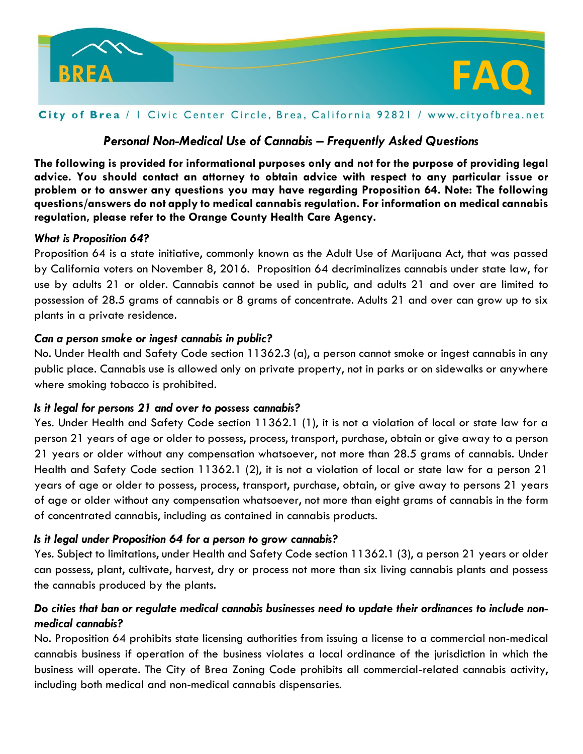

### City of Brea / I Civic Center Circle, Brea, California 92821 / www.cityofbrea.net

# *Personal Non-Medical Use of Cannabis – Frequently Asked Questions*

**The following is provided for informational purposes only and not for the purpose of providing legal advice. You should contact an attorney to obtain advice with respect to any particular issue or problem or to answer any questions you may have regarding Proposition 64. Note: The following questions/answers do not apply to medical cannabis regulation. For information on medical cannabis regulation, please refer to the Orange County Health Care Agency.**

### *What is Proposition 64?*

Proposition 64 is a state initiative, commonly known as the Adult Use of Marijuana Act, that was passed by California voters on November 8, 2016. Proposition 64 decriminalizes cannabis under state law, for use by adults 21 or older. Cannabis cannot be used in public, and adults 21 and over are limited to possession of 28.5 grams of cannabis or 8 grams of concentrate. Adults 21 and over can grow up to six plants in a private residence.

### *Can a person smoke or ingest cannabis in public?*

No. Under Health and Safety Code section 11362.3 (a), a person cannot smoke or ingest cannabis in any public place. Cannabis use is allowed only on private property, not in parks or on sidewalks or anywhere where smoking tobacco is prohibited.

### *Is it legal for persons 21 and over to possess cannabis?*

Yes. Under Health and Safety Code section 11362.1 (1), it is not a violation of local or state law for a person 21 years of age or older to possess, process, transport, purchase, obtain or give away to a person 21 years or older without any compensation whatsoever, not more than 28.5 grams of cannabis. Under Health and Safety Code section 11362.1 (2), it is not a violation of local or state law for a person 21 years of age or older to possess, process, transport, purchase, obtain, or give away to persons 21 years of age or older without any compensation whatsoever, not more than eight grams of cannabis in the form of concentrated cannabis, including as contained in cannabis products.

### *Is it legal under Proposition 64 for a person to grow cannabis?*

Yes. Subject to limitations, under Health and Safety Code section 11362.1 (3), a person 21 years or older can possess, plant, cultivate, harvest, dry or process not more than six living cannabis plants and possess the cannabis produced by the plants.

## *Do cities that ban or regulate medical cannabis businesses need to update their ordinances to include nonmedical cannabis?*

No. Proposition 64 prohibits state licensing authorities from issuing a license to a commercial non-medical cannabis business if operation of the business violates a local ordinance of the jurisdiction in which the business will operate. The City of Brea Zoning Code prohibits all commercial-related cannabis activity, including both medical and non-medical cannabis dispensaries.